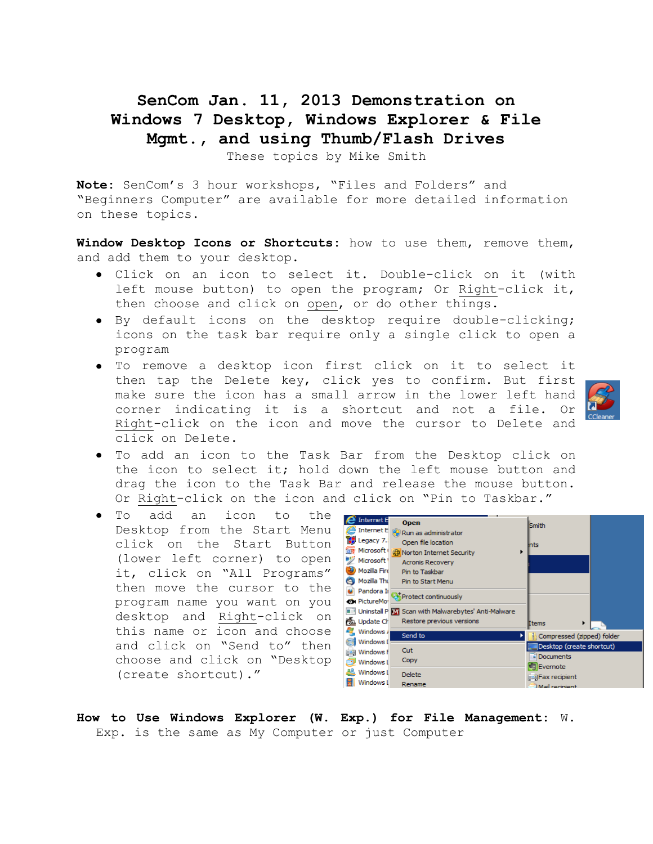## **SenCom Jan. 11, 2013 Demonstration on Windows 7 Desktop, Windows Explorer & File Mgmt., and using Thumb/Flash Drives**

These topics by Mike Smith

**Note:** SenCom's 3 hour workshops, "Files and Folders" and "Beginners Computer" are available for more detailed information on these topics.

**Window Desktop Icons or Shortcuts:** how to use them, remove them, and add them to your desktop.

- Click on an icon to select it. Double-click on it (with left mouse button) to open the program; Or Right-click it, then choose and click on open, or do other things.
- By default icons on the desktop require double-clicking; icons on the task bar require only a single click to open a program
- To remove a desktop icon first click on it to select it then tap the Delete key, click yes to confirm. But first make sure the icon has a small arrow in the lower left hand corner indicating it is a shortcut and not a file. Or Right-click on the icon and move the cursor to Delete and click on Delete.



- To add an icon to the Task Bar from the Desktop click on the icon to select it; hold down the left mouse button and drag the icon to the Task Bar and release the mouse button. Or Right-click on the icon and click on "Pin to Taskbar."
- To add an icon to the Desktop from the Start Menu click on the Start Button (lower left corner) to open it, click on "All Programs" then move the cursor to the program name you want on you desktop and Right-click on this name or icon and choose and click on "Send to" then choose and click on "Desktop (create shortcut)."



**How to Use Windows Explorer (W. Exp.) for File Management:** W. Exp. is the same as My Computer or just Computer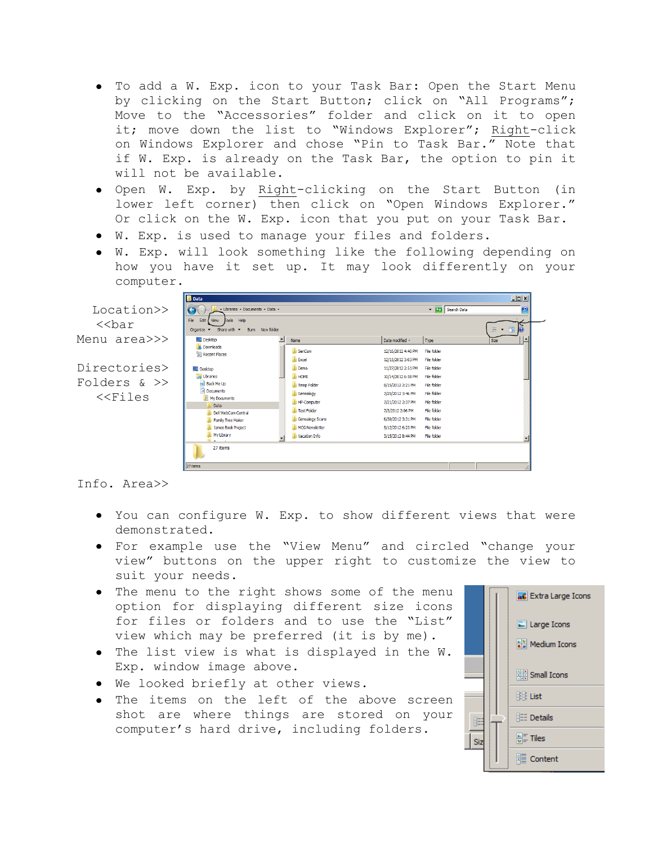- To add a W. Exp. icon to your Task Bar: Open the Start Menu by clicking on the Start Button; click on "All Programs"; Move to the "Accessories" folder and click on it to open it; move down the list to "Windows Explorer"; Right-click on Windows Explorer and chose "Pin to Task Bar." Note that if W. Exp. is already on the Task Bar, the option to pin it will not be available.
- Open W. Exp. by Right-clicking on the Start Button (in lower left corner) then click on "Open Windows Explorer." Or click on the W. Exp. icon that you put on your Task Bar.
- W. Exp. is used to manage your files and folders.
- W. Exp. will look something like the following depending on how you have it set up. It may look differently on your computer.

|              | <b>IN</b> Data                                                                                                            |                                 | $\Box$ $\Box$ $\times$            |                   |    |
|--------------|---------------------------------------------------------------------------------------------------------------------------|---------------------------------|-----------------------------------|-------------------|----|
| Location>>   | - Libraries - Documents - Data -<br>$\left($                                                                              |                                 |                                   | v (2) Search Data | I۶ |
| $\lt$ bar    | Tools Help<br>File<br>Edit<br>View<br>Share with $\blacktriangledown$<br>Burn New folder<br>Organize $\blacktriangledown$ |                                 |                                   | 睚                 |    |
| Menu area>>> | Desktop                                                                                                                   | $\blacktriangle$<br>Name        | Date modified -<br>Type           | Size              |    |
|              | <b>In</b> Downloads<br><b>Recent Places</b>                                                                               | SenCom                          | File folder<br>12/16/2012 4:40 PM |                   |    |
|              |                                                                                                                           | Excel                           | File folder<br>12/15/2012 3:03 PM |                   |    |
| Directories> | Desktop                                                                                                                   | Demo                            | File folder<br>11/27/2012 2:51 PM |                   |    |
|              | Libraries                                                                                                                 | <b>HOME</b>                     | File folder<br>10/14/2012 6:58 PM |                   |    |
| Folders $\>$ | <b>Back Me Up</b>                                                                                                         | Temp Folder                     | File folder<br>8/15/2012 2:21 PM  |                   |    |
| $<<$ Files   | Documents<br>My Documents                                                                                                 | Genealogy                       | File folder<br>7/25/2012 3:46 PM  |                   |    |
|              | Data                                                                                                                      | HP-Computer                     | File folder<br>7/21/2012 2:37 PM  |                   |    |
|              | Dell WebCam Central                                                                                                       | Test Folder                     | File folder<br>7/3/2012 2:06 PM   |                   |    |
|              | <b>Family Tree Maker</b>                                                                                                  | Genealogy Scans                 | File folder<br>6/30/2012 3:31 PM  |                   |    |
|              | James Book Project                                                                                                        | <b>MCG Newsletter</b>           | File folder<br>5/12/2012 6:23 PM  |                   |    |
|              | My Library<br>$n - 1$                                                                                                     | Vacation Info<br>$\blacksquare$ | File folder<br>3/15/2012 8:44 PM  |                   |    |
|              | 27 items                                                                                                                  |                                 |                                   |                   |    |
|              | 27 items                                                                                                                  |                                 |                                   |                   |    |

## Info. Area>>

- You can configure W. Exp. to show different views that were demonstrated.
- For example use the "View Menu" and circled "change your view" buttons on the upper right to customize the view to suit your needs.
- The menu to the right shows some of the menu option for displaying different size icons for files or folders and to use the "List" view which may be preferred (it is by me).
- The list view is what is displayed in the W. Exp. window image above.
- We looked briefly at other views.
- The items on the left of the above screen shot are where things are stored on your computer's hard drive, including folders.

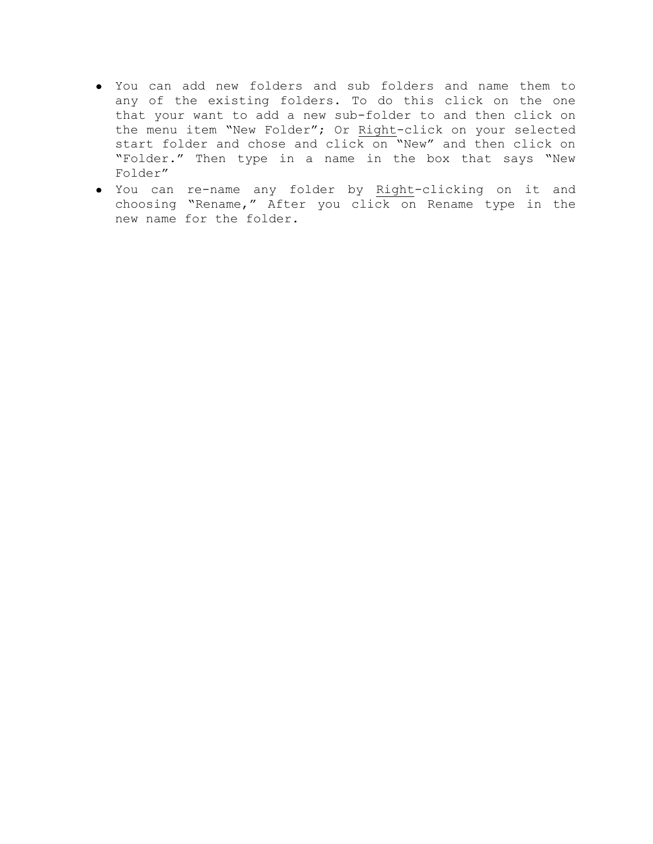- You can add new folders and sub folders and name them to any of the existing folders. To do this click on the one that your want to add a new sub-folder to and then click on the menu item "New Folder"; Or Right-click on your selected start folder and chose and click on "New" and then click on "Folder." Then type in a name in the box that says "New Folder"
- You can re-name any folder by Right-clicking on it and choosing "Rename," After you click on Rename type in the new name for the folder.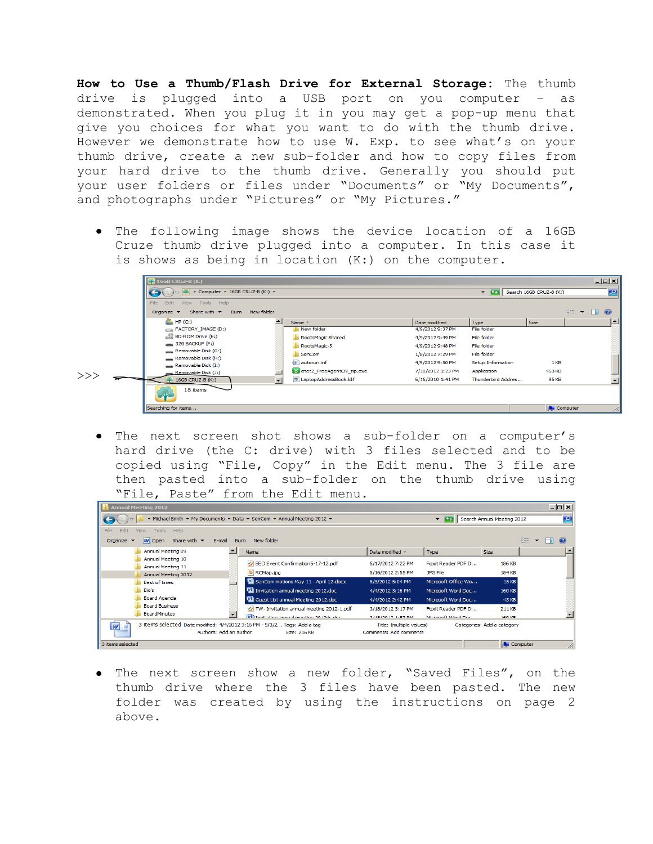**How to Use a Thumb/Flash Drive for External Storage:** The thumb drive is plugged into a USB port on you computer – as demonstrated. When you plug it in you may get a pop-up menu that give you choices for what you want to do with the thumb drive. However we demonstrate how to use W. Exp. to see what's on your thumb drive, create a new sub-folder and how to copy files from your hard drive to the thumb drive. Generally you should put your user folders or files under "Documents" or "My Documents", and photographs under "Pictures" or "My Pictures."

The following image shows the device location of a 16GB Cruze thumb drive plugged into a computer. In this case it is shows as being in location (K:) on the computer.



The next screen shot shows a sub-folder on a computer's hard drive (the C: drive) with 3 files selected and to be copied using "File, Copy" in the Edit menu. The 3 file are then pasted into a sub-folder on the thumb drive using "File, Paste" from the Edit menu.

| Annual Meeting 2012                                                                                             |                                            |                                                    |                                          |                            | $   \times$ $-$                 |  |
|-----------------------------------------------------------------------------------------------------------------|--------------------------------------------|----------------------------------------------------|------------------------------------------|----------------------------|---------------------------------|--|
| v Michael Smith v My Documents v Data v SenCom v Annual Meeting 2012 v                                          |                                            |                                                    | Search Annual Meeting 2012<br>$ \approx$ |                            |                                 |  |
| <b>Edit</b><br>Tools<br>Help<br>File<br><b>View</b>                                                             |                                            |                                                    |                                          |                            |                                 |  |
| <b>W</b> Open<br>Share with $\blacktriangledown$<br>E-mail<br>Organize $\blacktriangledown$                     | New folder<br><b>Burn</b>                  |                                                    |                                          | <b>BEE</b>                 | $\circ$<br>$\blacktriangledown$ |  |
| Annual Meeting 09                                                                                               | $\left  \right $<br>Name                   | Date modified                                      | Type                                     | Size                       |                                 |  |
| Annual Meeting 10<br>Annual Meeting 11                                                                          | BEO Event Confirmation 5-17-12.pdf         | 5/17/2012 7:22 PM                                  | Foxit Reader PDF D                       | 186 KB                     |                                 |  |
| Annual Meeting 2012                                                                                             | RCMap.jpg                                  | 5/16/2012 2:55 PM                                  | JPG File                                 | 184 KB                     |                                 |  |
| <b>Best of times</b>                                                                                            | SenCom motions May 11 - April 12.docx      | 5/3/2012 5:04 PM                                   | Microsoft Office Wo                      | <b>15 KB</b>               |                                 |  |
| Bio's                                                                                                           | Invitation annual meeting 2012.doc         | 4/4/2012 3:16 PM                                   | Microsoft Word Doc                       | 160 KB                     |                                 |  |
| Board Agenda                                                                                                    | Guest List annual Meeting 2012.doc         | 4/4/2012 2:42 PM                                   | Microsoft Word Doc                       | 43 KB                      |                                 |  |
| <b>Board Business</b>                                                                                           | TW- Invitation annual meeting 2012-1.pdf   | 3/18/2012 3:17 PM                                  | Foxit Reader PDF D                       | 211 <sub>KB</sub>          |                                 |  |
| <b>BoardMinutes</b>                                                                                             | Will touth-tion annual monting 2012ds does | 2/10/2012.11570M                                   | Microgoft Word Doc                       | 140 VD                     |                                 |  |
| 3 items selected Date modified: 4/4/2012 3:16 PM - 5/3/2 Tags: Add a tag<br><b>BV</b><br>Authors: Add an author | Size: 216 KB                               | Title: (multiple values)<br>Comments: Add comments |                                          | Categories: Add a category |                                 |  |
| 3 items selected                                                                                                |                                            |                                                    |                                          | <b>A.</b> Computer         |                                 |  |

The next screen show a new folder, "Saved Files", on the thumb drive where the 3 files have been pasted. The new folder was created by using the instructions on page 2 above.